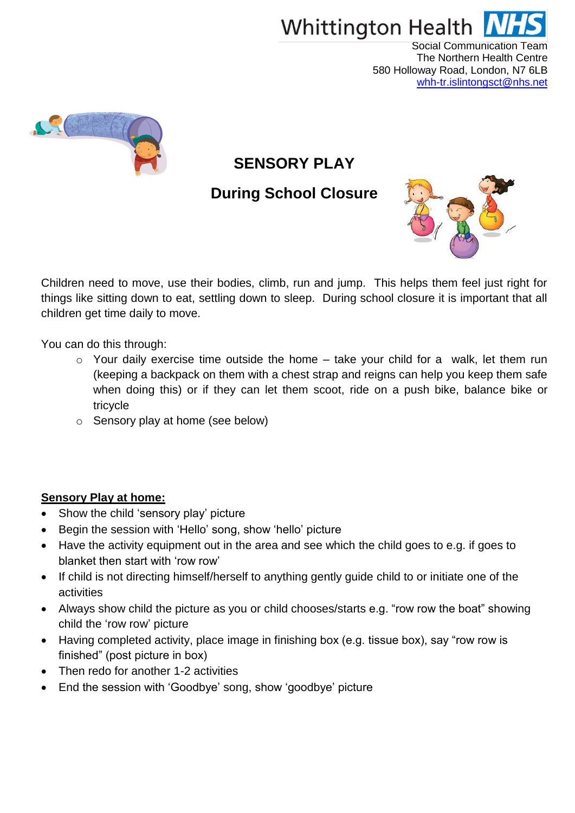

Social Communication Team The Northern Health Centre 580 Holloway Road, London, N7 6LB [whh-tr.islintongsct@nhs.net](mailto:whh-tr.islintongsct@nhs.net)



# **SENSORY PLAY**

# **During School Closure**



Children need to move, use their bodies, climb, run and jump. This helps them feel just right for things like sitting down to eat, settling down to sleep. During school closure it is important that all children get time daily to move.

You can do this through:

- $\circ$  Your daily exercise time outside the home take your child for a walk, let them run (keeping a backpack on them with a chest strap and reigns can help you keep them safe when doing this) or if they can let them scoot, ride on a push bike, balance bike or tricycle
- o Sensory play at home (see below)

#### **Sensory Play at home:**

- Show the child 'sensory play' picture
- Begin the session with 'Hello' song, show 'hello' picture
- Have the activity equipment out in the area and see which the child goes to e.g. if goes to blanket then start with 'row row'
- If child is not directing himself/herself to anything gently guide child to or initiate one of the activities
- Always show child the picture as you or child chooses/starts e.g. "row row the boat" showing child the 'row row' picture
- Having completed activity, place image in finishing box (e.g. tissue box), say "row row is finished" (post picture in box)
- Then redo for another 1-2 activities
- End the session with 'Goodbye' song, show 'goodbye' picture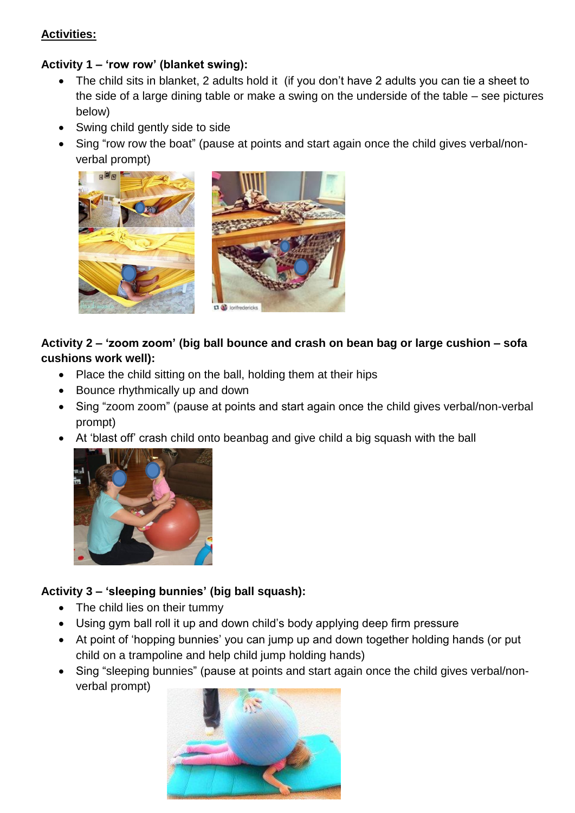#### **Activities:**

#### **Activity 1 – 'row row' (blanket swing):**

- The child sits in blanket, 2 adults hold it (if you don't have 2 adults you can tie a sheet to the side of a large dining table or make a swing on the underside of the table – see pictures below)
- Swing child gently side to side
- Sing "row row the boat" (pause at points and start again once the child gives verbal/nonverbal prompt)



# **Activity 2 – 'zoom zoom' (big ball bounce and crash on bean bag or large cushion – sofa cushions work well):**

- Place the child sitting on the ball, holding them at their hips
- Bounce rhythmically up and down
- Sing "zoom zoom" (pause at points and start again once the child gives verbal/non-verbal prompt)
- At 'blast off' crash child onto beanbag and give child a big squash with the ball



# **Activity 3 – 'sleeping bunnies' (big ball squash):**

- The child lies on their tummy
- Using gym ball roll it up and down child's body applying deep firm pressure
- At point of 'hopping bunnies' you can jump up and down together holding hands (or put child on a trampoline and help child jump holding hands)
- Sing "sleeping bunnies" (pause at points and start again once the child gives verbal/nonverbal prompt)

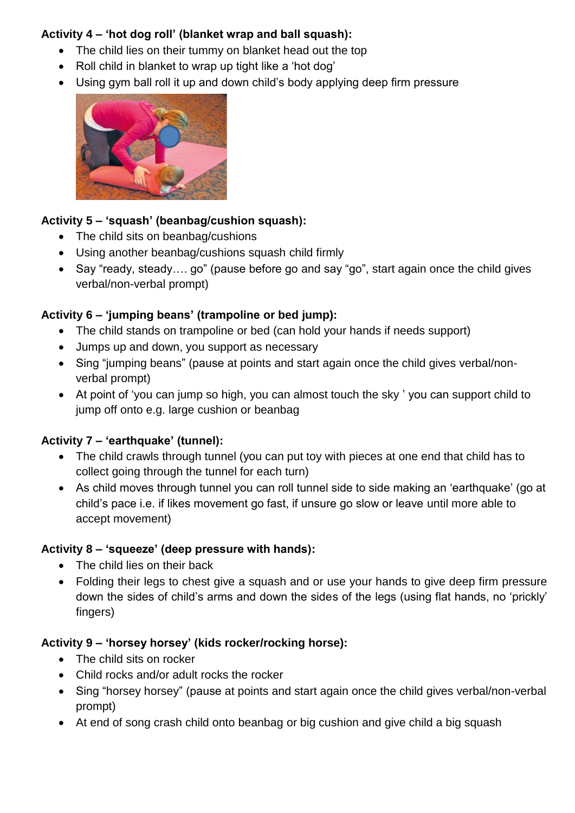#### **Activity 4 – 'hot dog roll' (blanket wrap and ball squash):**

- The child lies on their tummy on blanket head out the top
- Roll child in blanket to wrap up tight like a 'hot dog'
- Using gym ball roll it up and down child's body applying deep firm pressure



#### **Activity 5 – 'squash' (beanbag/cushion squash):**

- The child sits on beanbag/cushions
- Using another beanbag/cushions squash child firmly
- Say "ready, steady.... go" (pause before go and say "go", start again once the child gives verbal/non-verbal prompt)

# **Activity 6 – 'jumping beans' (trampoline or bed jump):**

- The child stands on trampoline or bed (can hold your hands if needs support)
- Jumps up and down, you support as necessary
- Sing "jumping beans" (pause at points and start again once the child gives verbal/nonverbal prompt)
- At point of 'you can jump so high, you can almost touch the sky ' you can support child to jump off onto e.g. large cushion or beanbag

# **Activity 7 – 'earthquake' (tunnel):**

- The child crawls through tunnel (you can put toy with pieces at one end that child has to collect going through the tunnel for each turn)
- As child moves through tunnel you can roll tunnel side to side making an 'earthquake' (go at child's pace i.e. if likes movement go fast, if unsure go slow or leave until more able to accept movement)

# **Activity 8 – 'squeeze' (deep pressure with hands):**

- The child lies on their back
- Folding their legs to chest give a squash and or use your hands to give deep firm pressure down the sides of child's arms and down the sides of the legs (using flat hands, no 'prickly' fingers)

# **Activity 9 – 'horsey horsey' (kids rocker/rocking horse):**

- The child sits on rocker
- Child rocks and/or adult rocks the rocker
- Sing "horsey horsey" (pause at points and start again once the child gives verbal/non-verbal prompt)
- At end of song crash child onto beanbag or big cushion and give child a big squash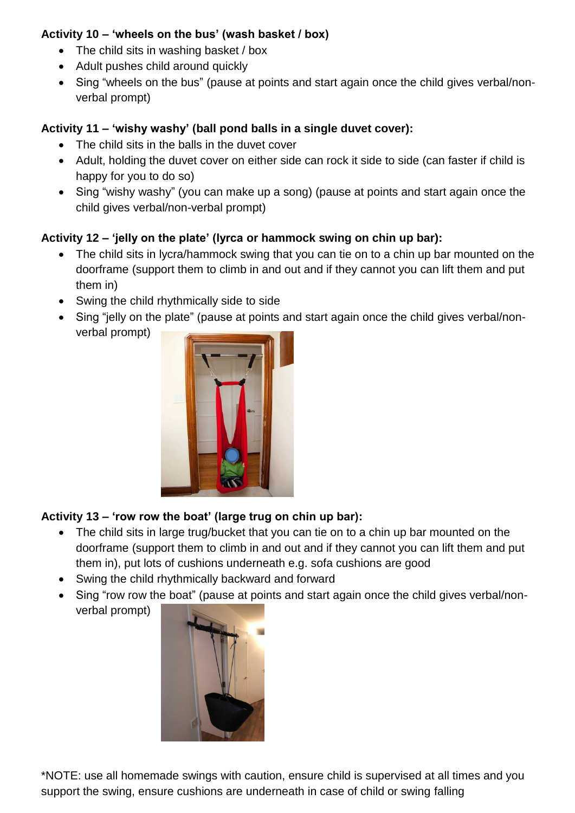#### **Activity 10 – 'wheels on the bus' (wash basket / box)**

- The child sits in washing basket / box
- Adult pushes child around quickly
- Sing "wheels on the bus" (pause at points and start again once the child gives verbal/nonverbal prompt)

#### **Activity 11 – 'wishy washy' (ball pond balls in a single duvet cover):**

- The child sits in the balls in the duvet cover
- Adult, holding the duvet cover on either side can rock it side to side (can faster if child is happy for you to do so)
- Sing "wishy washy" (you can make up a song) (pause at points and start again once the child gives verbal/non-verbal prompt)

# **Activity 12 – 'jelly on the plate' (lyrca or hammock swing on chin up bar):**

- The child sits in lycra/hammock swing that you can tie on to a chin up bar mounted on the doorframe (support them to climb in and out and if they cannot you can lift them and put them in)
- Swing the child rhythmically side to side
- Sing "jelly on the plate" (pause at points and start again once the child gives verbal/nonverbal prompt)



# **Activity 13 – 'row row the boat' (large trug on chin up bar):**

- The child sits in large trug/bucket that you can tie on to a chin up bar mounted on the doorframe (support them to climb in and out and if they cannot you can lift them and put them in), put lots of cushions underneath e.g. sofa cushions are good
- Swing the child rhythmically backward and forward
- Sing "row row the boat" (pause at points and start again once the child gives verbal/nonverbal prompt)



\*NOTE: use all homemade swings with caution, ensure child is supervised at all times and you support the swing, ensure cushions are underneath in case of child or swing falling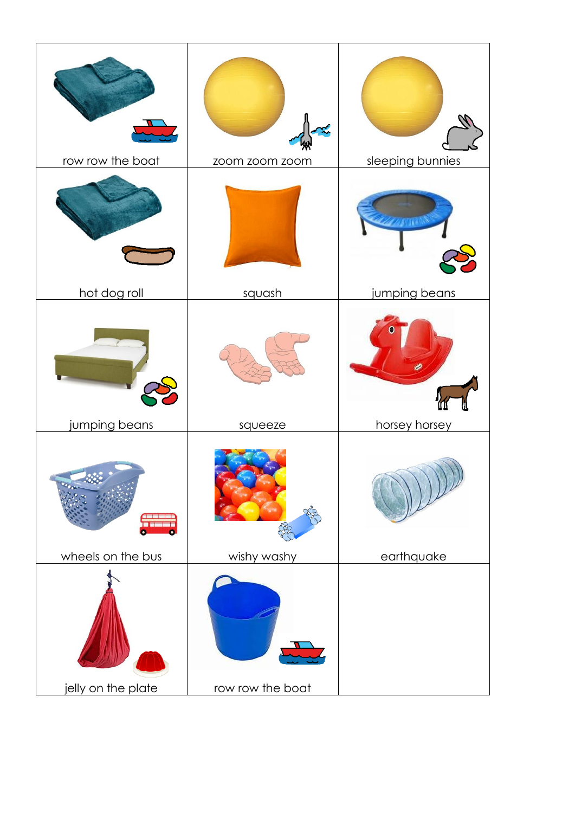| row row the boat                             | zoom zoom zoom   | sleeping bunnies |
|----------------------------------------------|------------------|------------------|
| hot dog roll                                 | squash           | jumping beans    |
| jumping beans                                | squeeze          | horsey horsey    |
| $\mathbf{G}$<br>a sanaj<br>wheels on the bus | wishy washy      | earthquake       |
| jelly on the plate                           | row row the boat |                  |